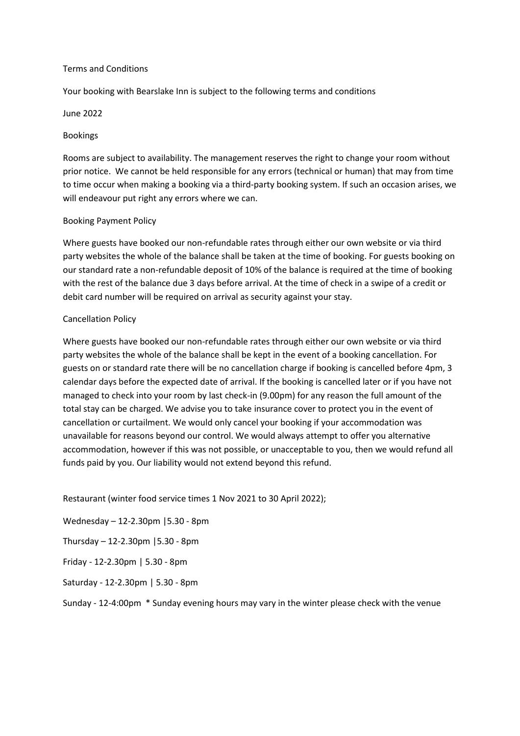#### Terms and Conditions

Your booking with Bearslake Inn is subject to the following terms and conditions

#### June 2022

#### Bookings

Rooms are subject to availability. The management reserves the right to change your room without prior notice. We cannot be held responsible for any errors (technical or human) that may from time to time occur when making a booking via a third-party booking system. If such an occasion arises, we will endeavour put right any errors where we can.

#### Booking Payment Policy

Where guests have booked our non-refundable rates through either our own website or via third party websites the whole of the balance shall be taken at the time of booking. For guests booking on our standard rate a non-refundable deposit of 10% of the balance is required at the time of booking with the rest of the balance due 3 days before arrival. At the time of check in a swipe of a credit or debit card number will be required on arrival as security against your stay.

## Cancellation Policy

Where guests have booked our non-refundable rates through either our own website or via third party websites the whole of the balance shall be kept in the event of a booking cancellation. For guests on or standard rate there will be no cancellation charge if booking is cancelled before 4pm, 3 calendar days before the expected date of arrival. If the booking is cancelled later or if you have not managed to check into your room by last check-in (9.00pm) for any reason the full amount of the total stay can be charged. We advise you to take insurance cover to protect you in the event of cancellation or curtailment. We would only cancel your booking if your accommodation was unavailable for reasons beyond our control. We would always attempt to offer you alternative accommodation, however if this was not possible, or unacceptable to you, then we would refund all funds paid by you. Our liability would not extend beyond this refund.

Restaurant (winter food service times 1 Nov 2021 to 30 April 2022);

Wednesday – 12-2.30pm |5.30 - 8pm

Thursday – 12-2.30pm |5.30 - 8pm

Friday - 12-2.30pm | 5.30 - 8pm

Saturday - 12-2.30pm | 5.30 - 8pm

Sunday - 12-4:00pm \* Sunday evening hours may vary in the winter please check with the venue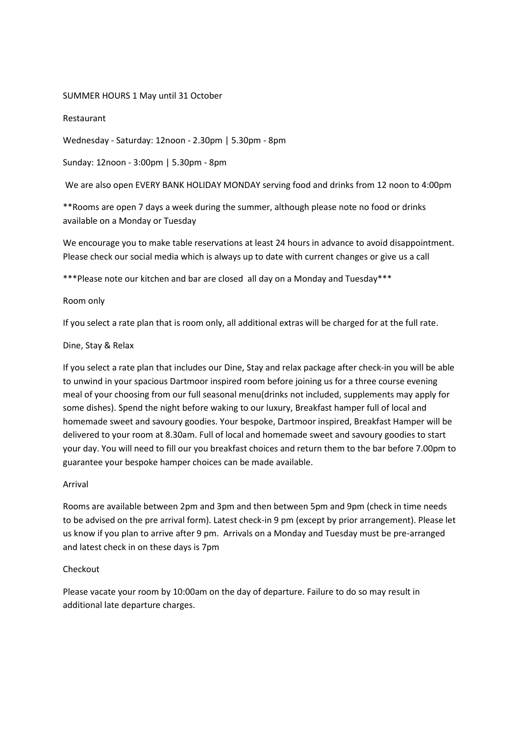## SUMMER HOURS 1 May until 31 October

#### Restaurant

Wednesday - Saturday: 12noon - 2.30pm | 5.30pm - 8pm

Sunday: 12noon - 3:00pm | 5.30pm - 8pm

We are also open EVERY BANK HOLIDAY MONDAY serving food and drinks from 12 noon to 4:00pm

\*\*Rooms are open 7 days a week during the summer, although please note no food or drinks available on a Monday or Tuesday

We encourage you to make table reservations at least 24 hours in advance to avoid disappointment. Please check our social media which is always up to date with current changes or give us a call

\*\*\*Please note our kitchen and bar are closed all day on a Monday and Tuesday\*\*\*

#### Room only

If you select a rate plan that is room only, all additional extras will be charged for at the full rate.

#### Dine, Stay & Relax

If you select a rate plan that includes our Dine, Stay and relax package after check-in you will be able to unwind in your spacious Dartmoor inspired room before joining us for a three course evening meal of your choosing from our full seasonal menu(drinks not included, supplements may apply for some dishes). Spend the night before waking to our luxury, Breakfast hamper full of local and homemade sweet and savoury goodies. Your bespoke, Dartmoor inspired, Breakfast Hamper will be delivered to your room at 8.30am. Full of local and homemade sweet and savoury goodies to start your day. You will need to fill our you breakfast choices and return them to the bar before 7.00pm to guarantee your bespoke hamper choices can be made available.

#### Arrival

Rooms are available between 2pm and 3pm and then between 5pm and 9pm (check in time needs to be advised on the pre arrival form). Latest check-in 9 pm (except by prior arrangement). Please let us know if you plan to arrive after 9 pm. Arrivals on a Monday and Tuesday must be pre-arranged and latest check in on these days is 7pm

## Checkout

Please vacate your room by 10:00am on the day of departure. Failure to do so may result in additional late departure charges.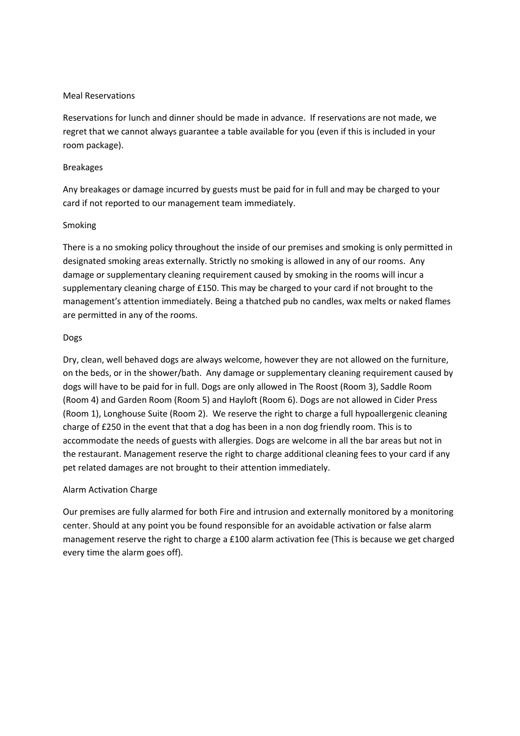## Meal Reservations

Reservations for lunch and dinner should be made in advance. If reservations are not made, we regret that we cannot always guarantee a table available for you (even if this is included in your room package).

#### Breakages

Any breakages or damage incurred by guests must be paid for in full and may be charged to your card if not reported to our management team immediately.

## Smoking

There is a no smoking policy throughout the inside of our premises and smoking is only permitted in designated smoking areas externally. Strictly no smoking is allowed in any of our rooms. Any damage or supplementary cleaning requirement caused by smoking in the rooms will incur a supplementary cleaning charge of £150. This may be charged to your card if not brought to the management's attention immediately. Being a thatched pub no candles, wax melts or naked flames are permitted in any of the rooms.

## Dogs

Dry, clean, well behaved dogs are always welcome, however they are not allowed on the furniture, on the beds, or in the shower/bath. Any damage or supplementary cleaning requirement caused by dogs will have to be paid for in full. Dogs are only allowed in The Roost (Room 3), Saddle Room (Room 4) and Garden Room (Room 5) and Hayloft (Room 6). Dogs are not allowed in Cider Press (Room 1), Longhouse Suite (Room 2). We reserve the right to charge a full hypoallergenic cleaning charge of £250 in the event that that a dog has been in a non dog friendly room. This is to accommodate the needs of guests with allergies. Dogs are welcome in all the bar areas but not in the restaurant. Management reserve the right to charge additional cleaning fees to your card if any pet related damages are not brought to their attention immediately.

## Alarm Activation Charge

Our premises are fully alarmed for both Fire and intrusion and externally monitored by a monitoring center. Should at any point you be found responsible for an avoidable activation or false alarm management reserve the right to charge a £100 alarm activation fee (This is because we get charged every time the alarm goes off).